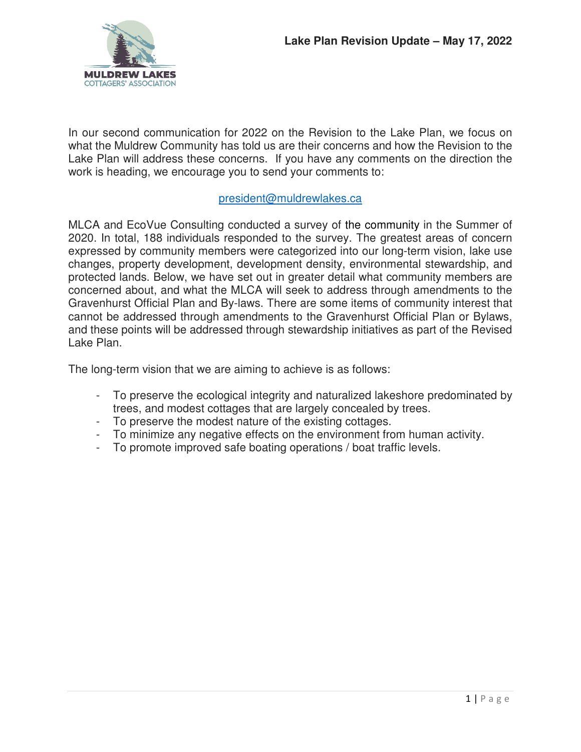

In our second communication for 2022 on the Revision to the Lake Plan, we focus on what the Muldrew Community has told us are their concerns and how the Revision to the Lake Plan will address these concerns. If you have any comments on the direction the work is heading, we encourage you to send your comments to:

#### president@muldrewlakes.ca

MLCA and EcoVue Consulting conducted a survey of the community in the Summer of 2020. In total, 188 individuals responded to the survey. The greatest areas of concern expressed by community members were categorized into our long-term vision, lake use changes, property development, development density, environmental stewardship, and protected lands. Below, we have set out in greater detail what community members are concerned about, and what the MLCA will seek to address through amendments to the Gravenhurst Official Plan and By-laws. There are some items of community interest that cannot be addressed through amendments to the Gravenhurst Official Plan or Bylaws, and these points will be addressed through stewardship initiatives as part of the Revised Lake Plan.

The long-term vision that we are aiming to achieve is as follows:

- To preserve the ecological integrity and naturalized lakeshore predominated by trees, and modest cottages that are largely concealed by trees.
- To preserve the modest nature of the existing cottages.
- To minimize any negative effects on the environment from human activity.
- To promote improved safe boating operations / boat traffic levels.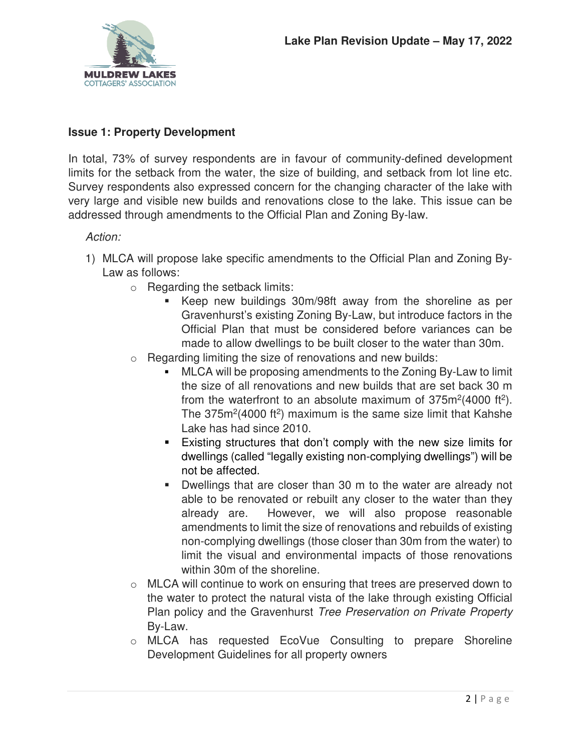

# **Issue 1: Property Development**

In total, 73% of survey respondents are in favour of community-defined development limits for the setback from the water, the size of building, and setback from lot line etc. Survey respondents also expressed concern for the changing character of the lake with very large and visible new builds and renovations close to the lake. This issue can be addressed through amendments to the Official Plan and Zoning By-law.

### Action:

- 1) MLCA will propose lake specific amendments to the Official Plan and Zoning By-Law as follows:
	- o Regarding the setback limits:
		- Keep new buildings 30m/98ft away from the shoreline as per Gravenhurst's existing Zoning By-Law, but introduce factors in the Official Plan that must be considered before variances can be made to allow dwellings to be built closer to the water than 30m.
	- $\circ$  Regarding limiting the size of renovations and new builds:
		- MLCA will be proposing amendments to the Zoning By-Law to limit the size of all renovations and new builds that are set back 30 m from the waterfront to an absolute maximum of  $375m^2(4000 ft^2)$ . The  $375m^2(4000 ft^2)$  maximum is the same size limit that Kahshe Lake has had since 2010.
		- Existing structures that don't comply with the new size limits for dwellings (called "legally existing non-complying dwellings") will be not be affected.
		- Dwellings that are closer than 30 m to the water are already not able to be renovated or rebuilt any closer to the water than they already are. However, we will also propose reasonable amendments to limit the size of renovations and rebuilds of existing non-complying dwellings (those closer than 30m from the water) to limit the visual and environmental impacts of those renovations within 30m of the shoreline.
	- o MLCA will continue to work on ensuring that trees are preserved down to the water to protect the natural vista of the lake through existing Official Plan policy and the Gravenhurst Tree Preservation on Private Property By-Law.
	- o MLCA has requested EcoVue Consulting to prepare Shoreline Development Guidelines for all property owners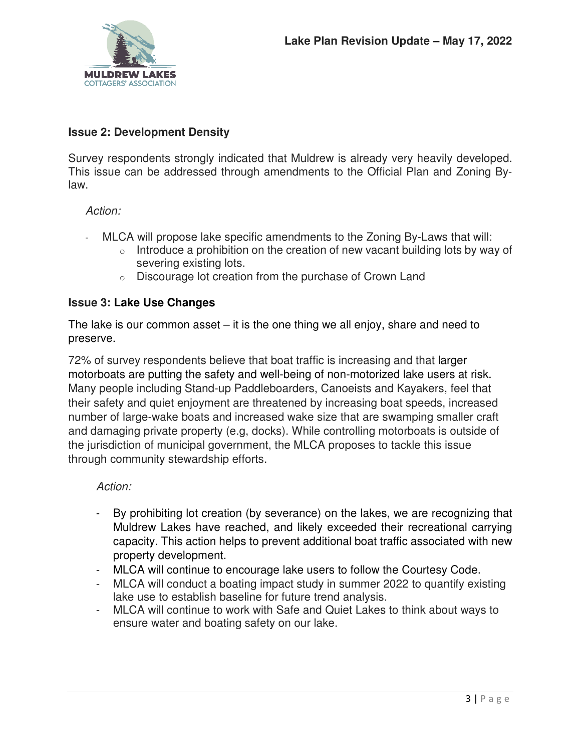

## **Issue 2: Development Density**

Survey respondents strongly indicated that Muldrew is already very heavily developed. This issue can be addressed through amendments to the Official Plan and Zoning Bylaw.

### Action:

- MLCA will propose lake specific amendments to the Zoning By-Laws that will:
	- $\circ$  Introduce a prohibition on the creation of new vacant building lots by way of severing existing lots.
	- o Discourage lot creation from the purchase of Crown Land

# **Issue 3: Lake Use Changes**

The lake is our common asset  $-$  it is the one thing we all enjoy, share and need to preserve.

72% of survey respondents believe that boat traffic is increasing and that larger motorboats are putting the safety and well-being of non-motorized lake users at risk. Many people including Stand-up Paddleboarders, Canoeists and Kayakers, feel that their safety and quiet enjoyment are threatened by increasing boat speeds, increased number of large-wake boats and increased wake size that are swamping smaller craft and damaging private property (e.g, docks). While controlling motorboats is outside of the jurisdiction of municipal government, the MLCA proposes to tackle this issue through community stewardship efforts.

### Action:

- By prohibiting lot creation (by severance) on the lakes, we are recognizing that Muldrew Lakes have reached, and likely exceeded their recreational carrying capacity. This action helps to prevent additional boat traffic associated with new property development.
- MLCA will continue to encourage lake users to follow the Courtesy Code.
- MLCA will conduct a boating impact study in summer 2022 to quantify existing lake use to establish baseline for future trend analysis.
- MLCA will continue to work with Safe and Quiet Lakes to think about ways to ensure water and boating safety on our lake.